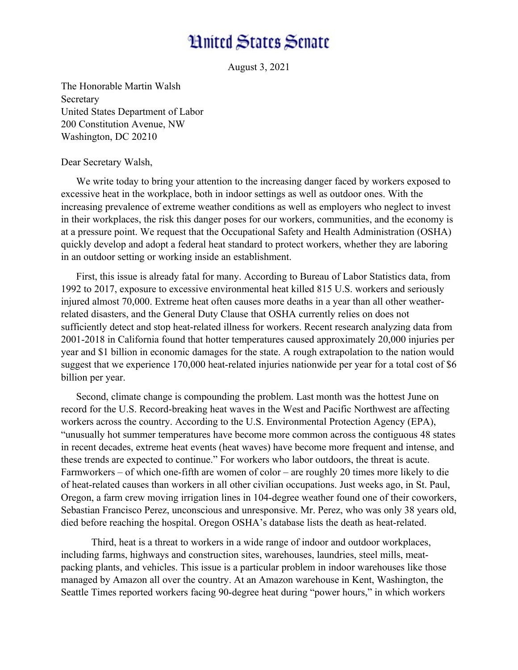## **Hnited States Senate**

August 3, 2021

The Honorable Martin Walsh Secretary United States Department of Labor 200 Constitution Avenue, NW Washington, DC 20210

Dear Secretary Walsh,

We write today to bring your attention to the increasing danger faced by workers exposed to excessive heat in the workplace, both in indoor settings as well as outdoor ones. With the increasing prevalence of extreme weather conditions as well as employers who neglect to invest in their workplaces, the risk this danger poses for our workers, communities, and the economy is at a pressure point. We request that the Occupational Safety and Health Administration (OSHA) quickly develop and adopt a federal heat standard to protect workers, whether they are laboring in an outdoor setting or working inside an establishment.

First, this issue is already fatal for many. According to Bureau of Labor Statistics data, from 1992 to 2017, exposure to excessive environmental heat killed 815 U.S. workers and seriously injured almost 70,000. Extreme heat often causes more deaths in a year than all other weatherrelated disasters, and the General Duty Clause that OSHA currently relies on does not sufficiently detect and stop heat-related illness for workers. Recent research analyzing data from 2001-2018 in California found that hotter temperatures caused approximately 20,000 injuries per year and \$1 billion in economic damages for the state. A rough extrapolation to the nation would suggest that we experience 170,000 heat-related injuries nationwide per year for a total cost of \$6 billion per year.

Second, climate change is compounding the problem. Last month was the hottest June on record for the U.S. Record-breaking heat waves in the West and Pacific Northwest are affecting workers across the country. According to the U.S. Environmental Protection Agency (EPA), "unusually hot summer temperatures have become more common across the contiguous 48 states in recent decades, extreme heat events (heat waves) have become more frequent and intense, and these trends are expected to continue." For workers who labor outdoors, the threat is acute. Farmworkers – of which one-fifth are women of color – are roughly 20 times more likely to die of heat-related causes than workers in all other civilian occupations. Just weeks ago, in St. Paul, Oregon, a farm crew moving irrigation lines in 104-degree weather found one of their coworkers, Sebastian Francisco Perez, unconscious and unresponsive. Mr. Perez, who was only 38 years old, died before reaching the hospital. Oregon OSHA's database lists the death as heat-related.

Third, heat is a threat to workers in a wide range of indoor and outdoor workplaces, including farms, highways and construction sites, warehouses, laundries, steel mills, meatpacking plants, and vehicles. This issue is a particular problem in indoor warehouses like those managed by Amazon all over the country. At an Amazon warehouse in Kent, Washington, the Seattle Times reported workers facing 90-degree heat during "power hours," in which workers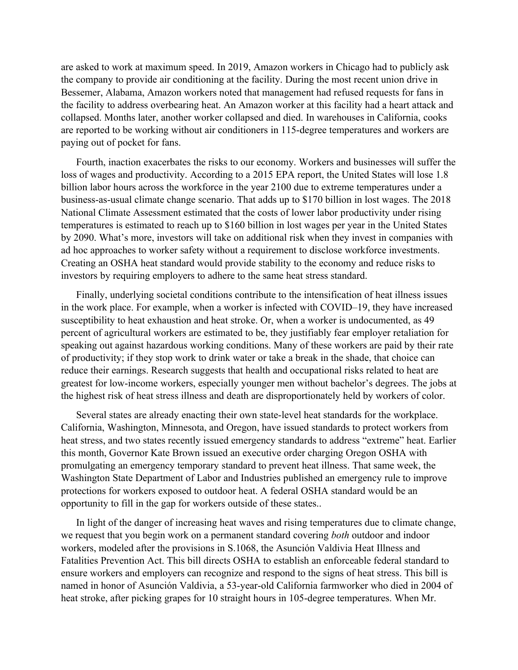are asked to work at maximum speed. In 2019, Amazon workers in Chicago had to publicly ask the company to provide air conditioning at the facility. During the most recent union drive in Bessemer, Alabama, Amazon workers noted that management had refused requests for fans in the facility to address overbearing heat. An Amazon worker at this facility had a heart attack and collapsed. Months later, another worker collapsed and died. In warehouses in California, cooks are reported to be working without air conditioners in 115-degree temperatures and workers are paying out of pocket for fans.

Fourth, inaction exacerbates the risks to our economy. Workers and businesses will suffer the loss of wages and productivity. According to a 2015 EPA report, the United States will lose 1.8 billion labor hours across the workforce in the year 2100 due to extreme temperatures under a business-as-usual climate change scenario. That adds up to \$170 billion in lost wages. The 2018 National Climate Assessment estimated that the costs of lower labor productivity under rising temperatures is estimated to reach up to \$160 billion in lost wages per year in the United States by 2090. What's more, investors will take on additional risk when they invest in companies with ad hoc approaches to worker safety without a requirement to disclose workforce investments. Creating an OSHA heat standard would provide stability to the economy and reduce risks to investors by requiring employers to adhere to the same heat stress standard.

Finally, underlying societal conditions contribute to the intensification of heat illness issues in the work place. For example, when a worker is infected with COVID–19, they have increased susceptibility to heat exhaustion and heat stroke. Or, when a worker is undocumented, as 49 percent of agricultural workers are estimated to be, they justifiably fear employer retaliation for speaking out against hazardous working conditions. Many of these workers are paid by their rate of productivity; if they stop work to drink water or take a break in the shade, that choice can reduce their earnings. Research suggests that health and occupational risks related to heat are greatest for low-income workers, especially younger men without bachelor's degrees. The jobs at the highest risk of heat stress illness and death are disproportionately held by workers of color.

Several states are already enacting their own state-level heat standards for the workplace. California, Washington, Minnesota, and Oregon, have issued standards to protect workers from heat stress, and two states recently issued emergency standards to address "extreme" heat. Earlier this month, Governor Kate Brown issued an executive order charging Oregon OSHA with promulgating an emergency temporary standard to prevent heat illness. That same week, the Washington State Department of Labor and Industries published an emergency rule to improve protections for workers exposed to outdoor heat. A federal OSHA standard would be an opportunity to fill in the gap for workers outside of these states..

In light of the danger of increasing heat waves and rising temperatures due to climate change, we request that you begin work on a permanent standard covering *both* outdoor and indoor workers, modeled after the provisions in S.1068, the Asunción Valdivia Heat Illness and Fatalities Prevention Act. This bill directs OSHA to establish an enforceable federal standard to ensure workers and employers can recognize and respond to the signs of heat stress. This bill is named in honor of Asunción Valdivia, a 53-year-old California farmworker who died in 2004 of heat stroke, after picking grapes for 10 straight hours in 105-degree temperatures. When Mr.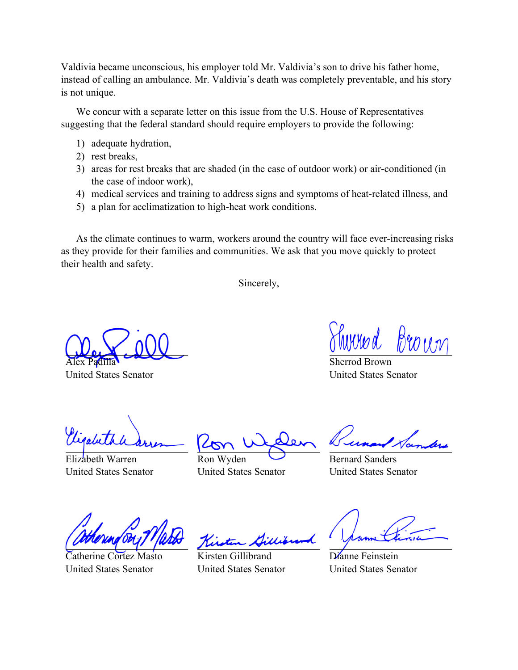Valdivia became unconscious, his employer told Mr. Valdivia's son to drive his father home, instead of calling an ambulance. Mr. Valdivia's death was completely preventable, and his story is not unique.

We concur with a separate letter on this issue from the U.S. House of Representatives suggesting that the federal standard should require employers to provide the following:

- 1) adequate hydration,
- 2) rest breaks,
- 3) areas for rest breaks that are shaded (in the case of outdoor work) or air-conditioned (in the case of indoor work),
- 4) medical services and training to address signs and symptoms of heat-related illness, and
- 5) a plan for acclimatization to high-heat work conditions.

As the climate continues to warm, workers around the country will face ever-increasing risks as they provide for their families and communities. We ask that you move quickly to protect their health and safety.

Sincerely,

Alex Padilla

United States Senator

Sherrod Brown United States Senator

Elizabeth Warren United States Senator

Ron Wyden United States Senator

Bernard Sanders United States Senator

Catherine Cortez Masto United States Senator

Kirsten Gillibrand United States Senator

Dianne Feinstein United States Senator